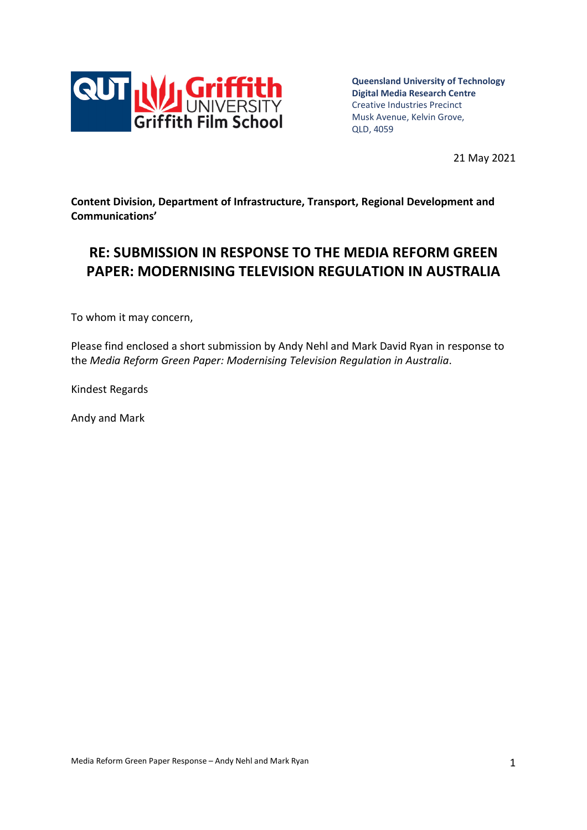

**Queensland University of Technology Digital Media Research Centre** Creative Industries Precinct Musk Avenue, Kelvin Grove, QLD, 4059

21 May 2021

**Content Division, Department of Infrastructure, Transport, Regional Development and Communications'**

# **RE: SUBMISSION IN RESPONSE TO THE MEDIA REFORM GREEN PAPER: MODERNISING TELEVISION REGULATION IN AUSTRALIA**

To whom it may concern,

Please find enclosed a short submission by Andy Nehl and Mark David Ryan in response to the *Media Reform Green Paper: Modernising Television Regulation in Australia*.

Kindest Regards

Andy and Mark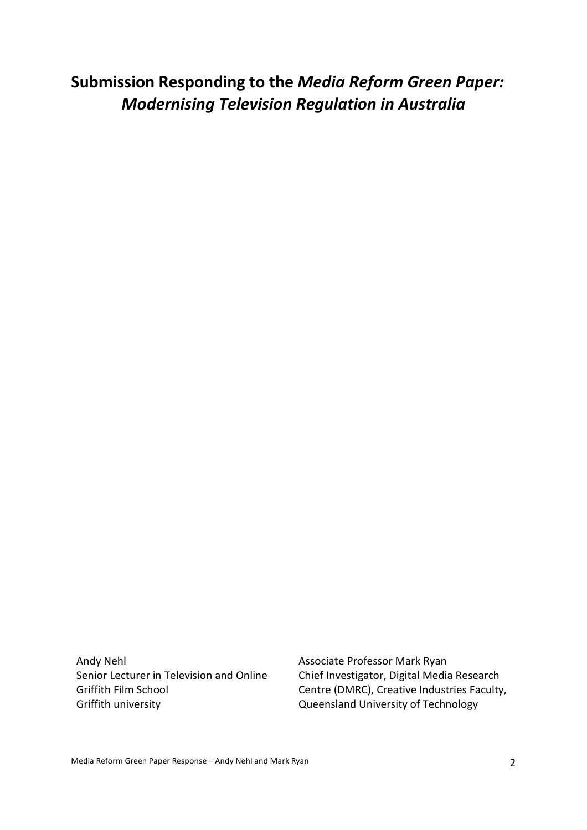**Submission Responding to the** *Media Reform Green Paper: Modernising Television Regulation in Australia*

Andy Nehl Senior Lecturer in Television and Online Griffith Film School Griffith university

Associate Professor Mark Ryan Chief Investigator, Digital Media Research Centre (DMRC), Creative Industries Faculty, Queensland University of Technology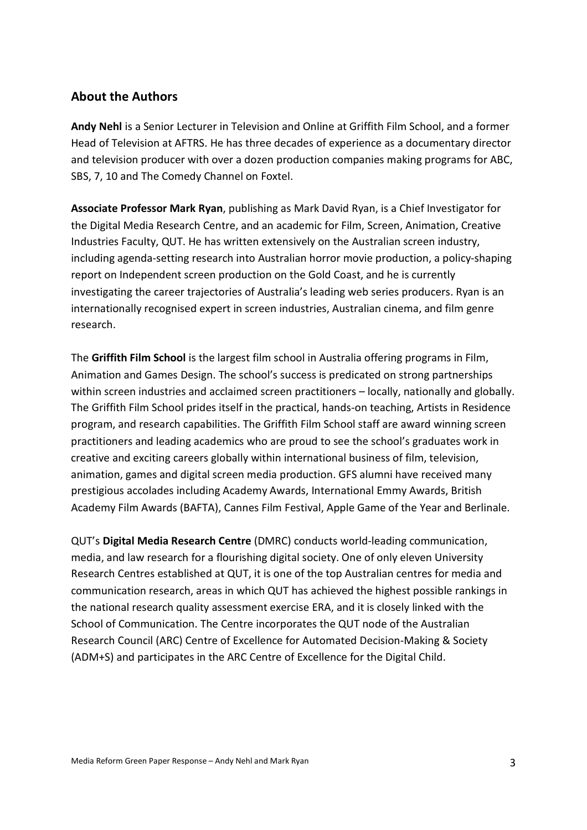## **About the Authors**

**Andy Nehl** is a Senior Lecturer in Television and Online at Griffith Film School, and a former Head of Television at AFTRS. He has three decades of experience as a documentary director and television producer with over a dozen production companies making programs for ABC, SBS, 7, 10 and The Comedy Channel on Foxtel.

**Associate Professor Mark Ryan**, publishing as Mark David Ryan, is a Chief Investigator for the Digital Media Research Centre, and an academic for Film, Screen, Animation, Creative Industries Faculty, QUT. He has written extensively on the Australian screen industry, including agenda-setting research into Australian horror movie production, a policy-shaping report on Independent screen production on the Gold Coast, and he is currently investigating the career trajectories of Australia's leading web series producers. Ryan is an internationally recognised expert in screen industries, Australian cinema, and film genre research.

The **Griffith Film School** is the largest film school in Australia offering programs in Film, Animation and Games Design. The school's success is predicated on strong partnerships within screen industries and acclaimed screen practitioners – locally, nationally and globally. The Griffith Film School prides itself in the practical, hands-on teaching, Artists in Residence program, and research capabilities. The Griffith Film School staff are award winning screen practitioners and leading academics who are proud to see the school's graduates work in creative and exciting careers globally within international business of film, television, animation, games and digital screen media production. GFS alumni have received many prestigious accolades including Academy Awards, International Emmy Awards, British Academy Film Awards (BAFTA), Cannes Film Festival, Apple Game of the Year and Berlinale.

QUT's **Digital Media Research Centre** (DMRC) conducts world-leading communication, media, and law research for a flourishing digital society. One of only eleven University Research Centres established at QUT, it is one of the top Australian centres for media and communication research, areas in which QUT has achieved the highest possible rankings in the national research quality assessment exercise ERA, and it is closely linked with the School of Communication. The Centre incorporates the QUT node of the Australian Research Council (ARC) Centre of Excellence for Automated Decision-Making & Society (ADM+S) and participates in the ARC Centre of Excellence for the Digital Child.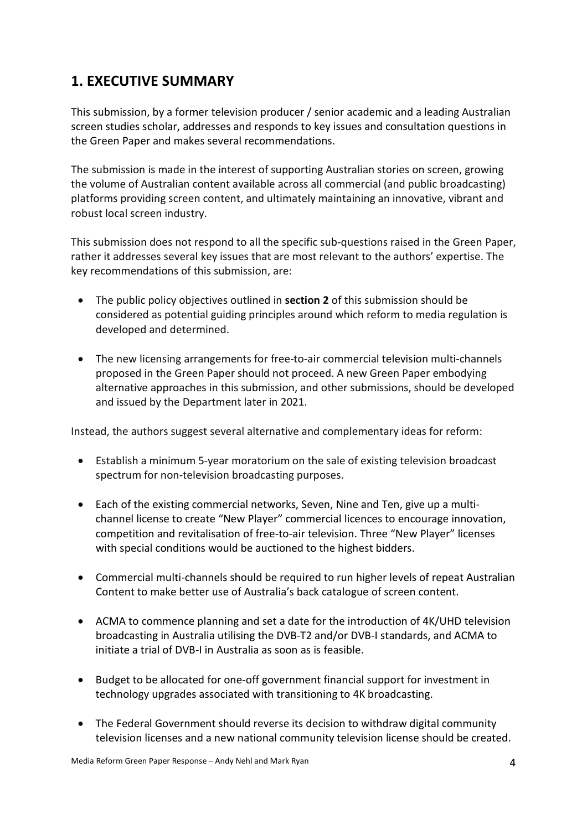## **1. EXECUTIVE SUMMARY**

This submission, by a former television producer / senior academic and a leading Australian screen studies scholar, addresses and responds to key issues and consultation questions in the Green Paper and makes several recommendations.

The submission is made in the interest of supporting Australian stories on screen, growing the volume of Australian content available across all commercial (and public broadcasting) platforms providing screen content, and ultimately maintaining an innovative, vibrant and robust local screen industry.

This submission does not respond to all the specific sub-questions raised in the Green Paper, rather it addresses several key issues that are most relevant to the authors' expertise. The key recommendations of this submission, are:

- The public policy objectives outlined in **section 2** of this submission should be considered as potential guiding principles around which reform to media regulation is developed and determined.
- The new licensing arrangements for free-to-air commercial television multi-channels proposed in the Green Paper should not proceed. A new Green Paper embodying alternative approaches in this submission, and other submissions, should be developed and issued by the Department later in 2021.

Instead, the authors suggest several alternative and complementary ideas for reform:

- Establish a minimum 5-year moratorium on the sale of existing television broadcast spectrum for non-television broadcasting purposes.
- Each of the existing commercial networks, Seven, Nine and Ten, give up a multichannel license to create "New Player" commercial licences to encourage innovation, competition and revitalisation of free-to-air television. Three "New Player" licenses with special conditions would be auctioned to the highest bidders.
- Commercial multi-channels should be required to run higher levels of repeat Australian Content to make better use of Australia's back catalogue of screen content.
- ACMA to commence planning and set a date for the introduction of 4K/UHD television broadcasting in Australia utilising the DVB-T2 and/or DVB-I standards, and ACMA to initiate a trial of DVB-I in Australia as soon as is feasible.
- Budget to be allocated for one-off government financial support for investment in technology upgrades associated with transitioning to 4K broadcasting.
- The Federal Government should reverse its decision to withdraw digital community television licenses and a new national community television license should be created.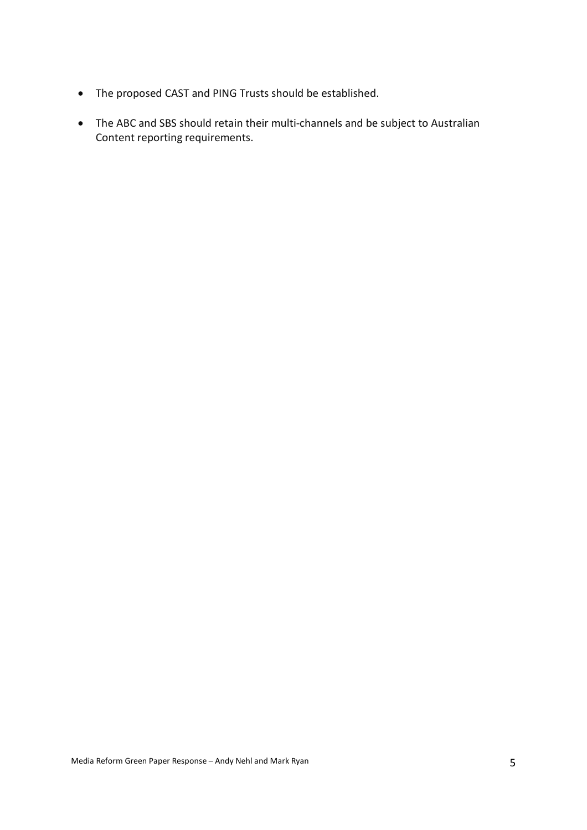- The proposed CAST and PING Trusts should be established.
- The ABC and SBS should retain their multi-channels and be subject to Australian Content reporting requirements.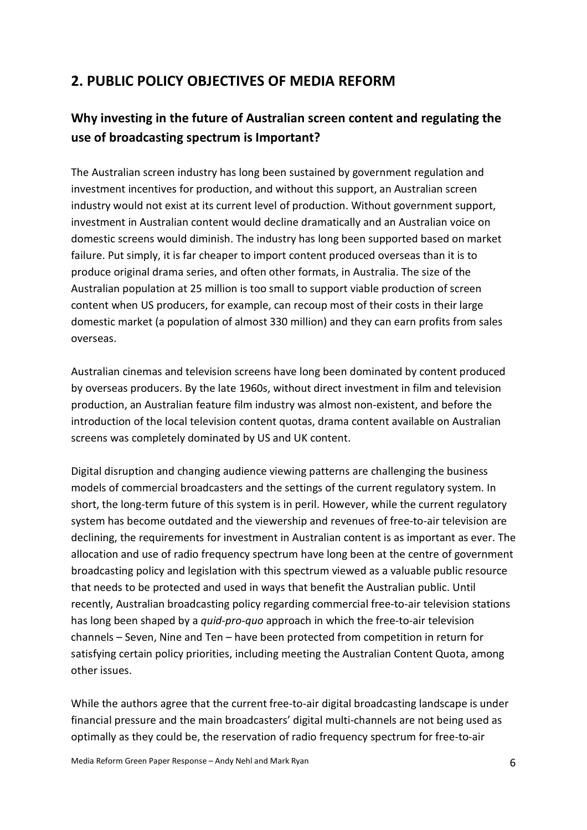## **2. PUBLIC POLICY OBJECTIVES OF MEDIA REFORM**

## **Why investing in the future of Australian screen content and regulating the use of broadcasting spectrum is Important?**

The Australian screen industry has long been sustained by government regulation and investment incentives for production, and without this support, an Australian screen industry would not exist at its current level of production. Without government support, investment in Australian content would decline dramatically and an Australian voice on domestic screens would diminish. The industry has long been supported based on market failure. Put simply, it is far cheaper to import content produced overseas than it is to produce original drama series, and often other formats, in Australia. The size of the Australian population at 25 million is too small to support viable production of screen content when US producers, for example, can recoup most of their costs in their large domestic market (a population of almost 330 million) and they can earn profits from sales overseas.

Australian cinemas and television screens have long been dominated by content produced by overseas producers. By the late 1960s, without direct investment in film and television production, an Australian feature film industry was almost non-existent, and before the introduction of the local television content quotas, drama content available on Australian screens was completely dominated by US and UK content.

Digital disruption and changing audience viewing patterns are challenging the business models of commercial broadcasters and the settings of the current regulatory system. In short, the long-term future of this system is in peril. However, while the current regulatory system has become outdated and the viewership and revenues of free-to-air television are declining, the requirements for investment in Australian content is as important as ever. The allocation and use of radio frequency spectrum have long been at the centre of government broadcasting policy and legislation with this spectrum viewed as a valuable public resource that needs to be protected and used in ways that benefit the Australian public. Until recently, Australian broadcasting policy regarding commercial free-to-air television stations has long been shaped by a *quid-pro-quo* approach in which the free-to-air television channels – Seven, Nine and Ten – have been protected from competition in return for satisfying certain policy priorities, including meeting the Australian Content Quota, among other issues.

While the authors agree that the current free-to-air digital broadcasting landscape is under financial pressure and the main broadcasters' digital multi-channels are not being used as optimally as they could be, the reservation of radio frequency spectrum for free-to-air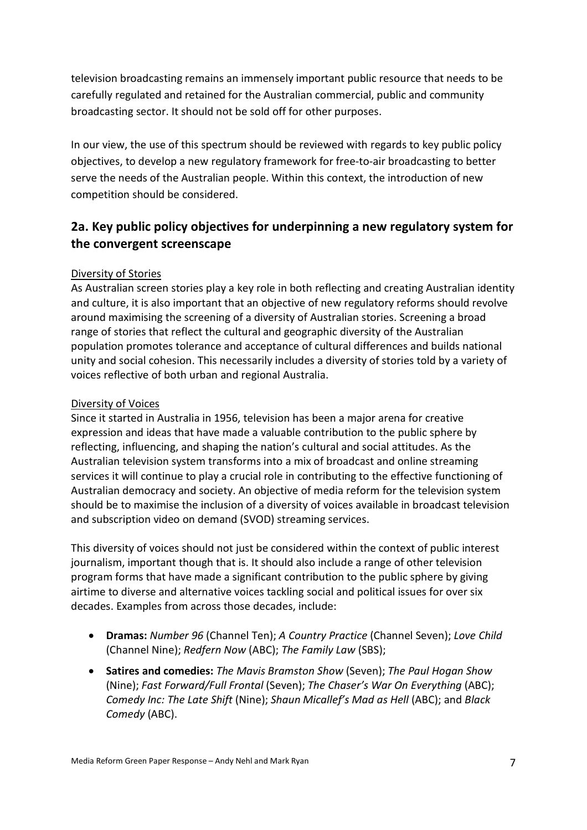television broadcasting remains an immensely important public resource that needs to be carefully regulated and retained for the Australian commercial, public and community broadcasting sector. It should not be sold off for other purposes.

In our view, the use of this spectrum should be reviewed with regards to key public policy objectives, to develop a new regulatory framework for free-to-air broadcasting to better serve the needs of the Australian people. Within this context, the introduction of new competition should be considered.

## **2a. Key public policy objectives for underpinning a new regulatory system for the convergent screenscape**

### Diversity of Stories

As Australian screen stories play a key role in both reflecting and creating Australian identity and culture, it is also important that an objective of new regulatory reforms should revolve around maximising the screening of a diversity of Australian stories. Screening a broad range of stories that reflect the cultural and geographic diversity of the Australian population promotes tolerance and acceptance of cultural differences and builds national unity and social cohesion. This necessarily includes a diversity of stories told by a variety of voices reflective of both urban and regional Australia.

### Diversity of Voices

Since it started in Australia in 1956, television has been a major arena for creative expression and ideas that have made a valuable contribution to the public sphere by reflecting, influencing, and shaping the nation's cultural and social attitudes. As the Australian television system transforms into a mix of broadcast and online streaming services it will continue to play a crucial role in contributing to the effective functioning of Australian democracy and society. An objective of media reform for the television system should be to maximise the inclusion of a diversity of voices available in broadcast television and subscription video on demand (SVOD) streaming services.

This diversity of voices should not just be considered within the context of public interest journalism, important though that is. It should also include a range of other television program forms that have made a significant contribution to the public sphere by giving airtime to diverse and alternative voices tackling social and political issues for over six decades. Examples from across those decades, include:

- **Dramas:** *Number 96* (Channel Ten); *A Country Practice* (Channel Seven); *Love Child* (Channel Nine); *Redfern Now* (ABC); *The Family Law* (SBS);
- **Satires and comedies:** *The Mavis Bramston Show* (Seven); *The Paul Hogan Show* (Nine); *Fast Forward/Full Frontal* (Seven); *The Chaser's War On Everything* (ABC); *Comedy Inc: The Late Shift* (Nine); *Shaun Micallef's Mad as Hell* (ABC); and *Black Comedy* (ABC).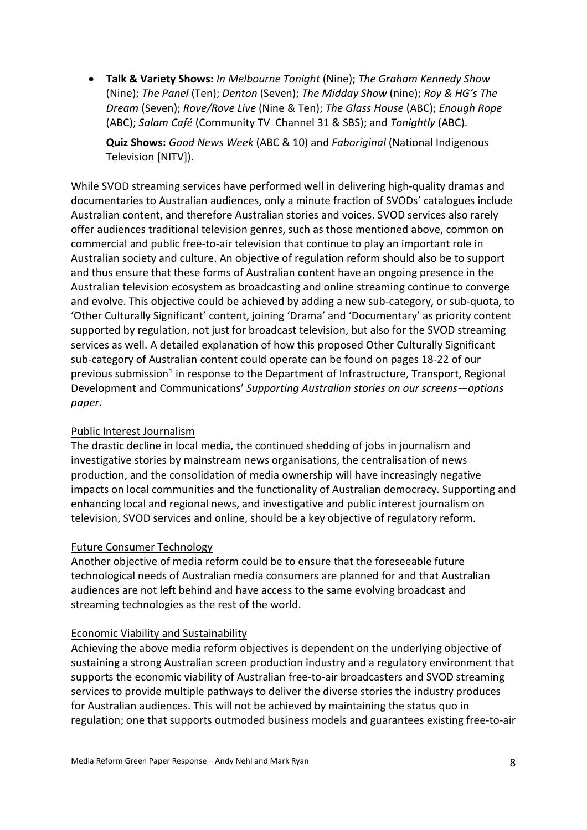• **Talk & Variety Shows:** *In Melbourne Tonight* (Nine); *The Graham Kennedy Show* (Nine); *The Panel* (Ten); *Denton* (Seven); *The Midday Show* (nine); *Roy & HG's The Dream* (Seven); *Rove/Rove Live* (Nine & Ten); *The Glass House* (ABC); *Enough Rope* (ABC); *Salam Café* (Community TV Channel 31 & SBS); and *Tonightly* (ABC).

**Quiz Shows:** *Good News Week* (ABC & 10) and *Faboriginal* (National Indigenous Television [NITV]).

While SVOD streaming services have performed well in delivering high-quality dramas and documentaries to Australian audiences, only a minute fraction of SVODs' catalogues include Australian content, and therefore Australian stories and voices. SVOD services also rarely offer audiences traditional television genres, such as those mentioned above, common on commercial and public free-to-air television that continue to play an important role in Australian society and culture. An objective of regulation reform should also be to support and thus ensure that these forms of Australian content have an ongoing presence in the Australian television ecosystem as broadcasting and online streaming continue to converge and evolve. This objective could be achieved by adding a new sub-category, or sub-quota, to 'Other Culturally Significant' content, joining 'Drama' and 'Documentary' as priority content supported by regulation, not just for broadcast television, but also for the SVOD streaming services as well. A detailed explanation of how this proposed Other Culturally Significant sub-category of Australian content could operate can be found on pages 18-22 of our previous submission<sup>1</sup> in response to the Department of Infrastructure, Transport, Regional Development and Communications' *Supporting Australian stories on our screens—options paper*.

### Public Interest Journalism

The drastic decline in local media, the continued shedding of jobs in journalism and investigative stories by mainstream news organisations, the centralisation of news production, and the consolidation of media ownership will have increasingly negative impacts on local communities and the functionality of Australian democracy. Supporting and enhancing local and regional news, and investigative and public interest journalism on television, SVOD services and online, should be a key objective of regulatory reform.

### Future Consumer Technology

Another objective of media reform could be to ensure that the foreseeable future technological needs of Australian media consumers are planned for and that Australian audiences are not left behind and have access to the same evolving broadcast and streaming technologies as the rest of the world.

### Economic Viability and Sustainability

Achieving the above media reform objectives is dependent on the underlying objective of sustaining a strong Australian screen production industry and a regulatory environment that supports the economic viability of Australian free-to-air broadcasters and SVOD streaming services to provide multiple pathways to deliver the diverse stories the industry produces for Australian audiences. This will not be achieved by maintaining the status quo in regulation; one that supports outmoded business models and guarantees existing free-to-air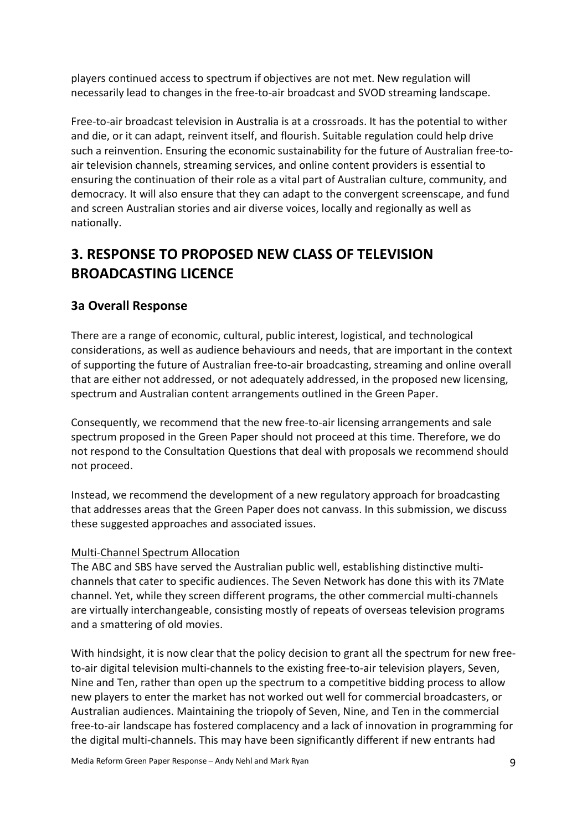players continued access to spectrum if objectives are not met. New regulation will necessarily lead to changes in the free-to-air broadcast and SVOD streaming landscape.

Free-to-air broadcast television in Australia is at a crossroads. It has the potential to wither and die, or it can adapt, reinvent itself, and flourish. Suitable regulation could help drive such a reinvention. Ensuring the economic sustainability for the future of Australian free-toair television channels, streaming services, and online content providers is essential to ensuring the continuation of their role as a vital part of Australian culture, community, and democracy. It will also ensure that they can adapt to the convergent screenscape, and fund and screen Australian stories and air diverse voices, locally and regionally as well as nationally.

# **3. RESPONSE TO PROPOSED NEW CLASS OF TELEVISION BROADCASTING LICENCE**

## **3a Overall Response**

There are a range of economic, cultural, public interest, logistical, and technological considerations, as well as audience behaviours and needs, that are important in the context of supporting the future of Australian free-to-air broadcasting, streaming and online overall that are either not addressed, or not adequately addressed, in the proposed new licensing, spectrum and Australian content arrangements outlined in the Green Paper.

Consequently, we recommend that the new free-to-air licensing arrangements and sale spectrum proposed in the Green Paper should not proceed at this time. Therefore, we do not respond to the Consultation Questions that deal with proposals we recommend should not proceed.

Instead, we recommend the development of a new regulatory approach for broadcasting that addresses areas that the Green Paper does not canvass. In this submission, we discuss these suggested approaches and associated issues.

### Multi-Channel Spectrum Allocation

The ABC and SBS have served the Australian public well, establishing distinctive multichannels that cater to specific audiences. The Seven Network has done this with its 7Mate channel. Yet, while they screen different programs, the other commercial multi-channels are virtually interchangeable, consisting mostly of repeats of overseas television programs and a smattering of old movies.

With hindsight, it is now clear that the policy decision to grant all the spectrum for new freeto-air digital television multi-channels to the existing free-to-air television players, Seven, Nine and Ten, rather than open up the spectrum to a competitive bidding process to allow new players to enter the market has not worked out well for commercial broadcasters, or Australian audiences. Maintaining the triopoly of Seven, Nine, and Ten in the commercial free-to-air landscape has fostered complacency and a lack of innovation in programming for the digital multi-channels. This may have been significantly different if new entrants had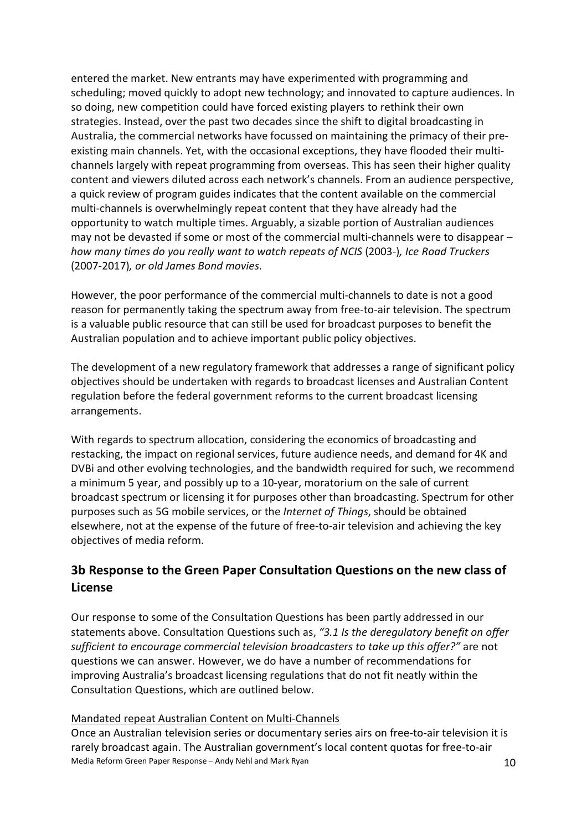entered the market. New entrants may have experimented with programming and scheduling; moved quickly to adopt new technology; and innovated to capture audiences. In so doing, new competition could have forced existing players to rethink their own strategies. Instead, over the past two decades since the shift to digital broadcasting in Australia, the commercial networks have focussed on maintaining the primacy of their preexisting main channels. Yet, with the occasional exceptions, they have flooded their multichannels largely with repeat programming from overseas. This has seen their higher quality content and viewers diluted across each network's channels. From an audience perspective, a quick review of program guides indicates that the content available on the commercial multi-channels is overwhelmingly repeat content that they have already had the opportunity to watch multiple times. Arguably, a sizable portion of Australian audiences may not be devasted if some or most of the commercial multi-channels were to disappear – *how many times do you really want to watch repeats of NCIS* (2003-)*, Ice Road Truckers* (2007-2017)*, or old James Bond movies*.

However, the poor performance of the commercial multi-channels to date is not a good reason for permanently taking the spectrum away from free-to-air television. The spectrum is a valuable public resource that can still be used for broadcast purposes to benefit the Australian population and to achieve important public policy objectives.

The development of a new regulatory framework that addresses a range of significant policy objectives should be undertaken with regards to broadcast licenses and Australian Content regulation before the federal government reforms to the current broadcast licensing arrangements.

With regards to spectrum allocation, considering the economics of broadcasting and restacking, the impact on regional services, future audience needs, and demand for 4K and DVBi and other evolving technologies, and the bandwidth required for such, we recommend a minimum 5 year, and possibly up to a 10-year, moratorium on the sale of current broadcast spectrum or licensing it for purposes other than broadcasting. Spectrum for other purposes such as 5G mobile services, or the *Internet of Things*, should be obtained elsewhere, not at the expense of the future of free-to-air television and achieving the key objectives of media reform.

## **3b Response to the Green Paper Consultation Questions on the new class of License**

Our response to some of the Consultation Questions has been partly addressed in our statements above. Consultation Questions such as, *"3.1 Is the deregulatory benefit on offer sufficient to encourage commercial television broadcasters to take up this offer?"* are not questions we can answer. However, we do have a number of recommendations for improving Australia's broadcast licensing regulations that do not fit neatly within the Consultation Questions, which are outlined below.

### Mandated repeat Australian Content on Multi-Channels

Media Reform Green Paper Response – Andy Nehl and Mark Ryan 10 Once an Australian television series or documentary series airs on free-to-air television it is rarely broadcast again. The Australian government's local content quotas for free-to-air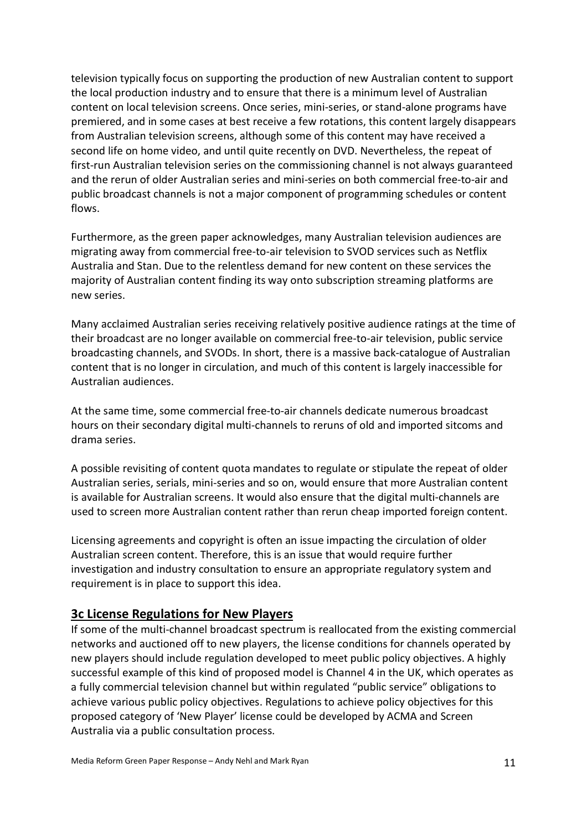television typically focus on supporting the production of new Australian content to support the local production industry and to ensure that there is a minimum level of Australian content on local television screens. Once series, mini-series, or stand-alone programs have premiered, and in some cases at best receive a few rotations, this content largely disappears from Australian television screens, although some of this content may have received a second life on home video, and until quite recently on DVD. Nevertheless, the repeat of first-run Australian television series on the commissioning channel is not always guaranteed and the rerun of older Australian series and mini-series on both commercial free-to-air and public broadcast channels is not a major component of programming schedules or content flows.

Furthermore, as the green paper acknowledges, many Australian television audiences are migrating away from commercial free-to-air television to SVOD services such as Netflix Australia and Stan. Due to the relentless demand for new content on these services the majority of Australian content finding its way onto subscription streaming platforms are new series.

Many acclaimed Australian series receiving relatively positive audience ratings at the time of their broadcast are no longer available on commercial free-to-air television, public service broadcasting channels, and SVODs. In short, there is a massive back-catalogue of Australian content that is no longer in circulation, and much of this content is largely inaccessible for Australian audiences.

At the same time, some commercial free-to-air channels dedicate numerous broadcast hours on their secondary digital multi-channels to reruns of old and imported sitcoms and drama series.

A possible revisiting of content quota mandates to regulate or stipulate the repeat of older Australian series, serials, mini-series and so on, would ensure that more Australian content is available for Australian screens. It would also ensure that the digital multi-channels are used to screen more Australian content rather than rerun cheap imported foreign content.

Licensing agreements and copyright is often an issue impacting the circulation of older Australian screen content. Therefore, this is an issue that would require further investigation and industry consultation to ensure an appropriate regulatory system and requirement is in place to support this idea.

### **3c License Regulations for New Players**

If some of the multi-channel broadcast spectrum is reallocated from the existing commercial networks and auctioned off to new players, the license conditions for channels operated by new players should include regulation developed to meet public policy objectives. A highly successful example of this kind of proposed model is Channel 4 in the UK, which operates as a fully commercial television channel but within regulated "public service" obligations to achieve various public policy objectives. Regulations to achieve policy objectives for this proposed category of 'New Player' license could be developed by ACMA and Screen Australia via a public consultation process.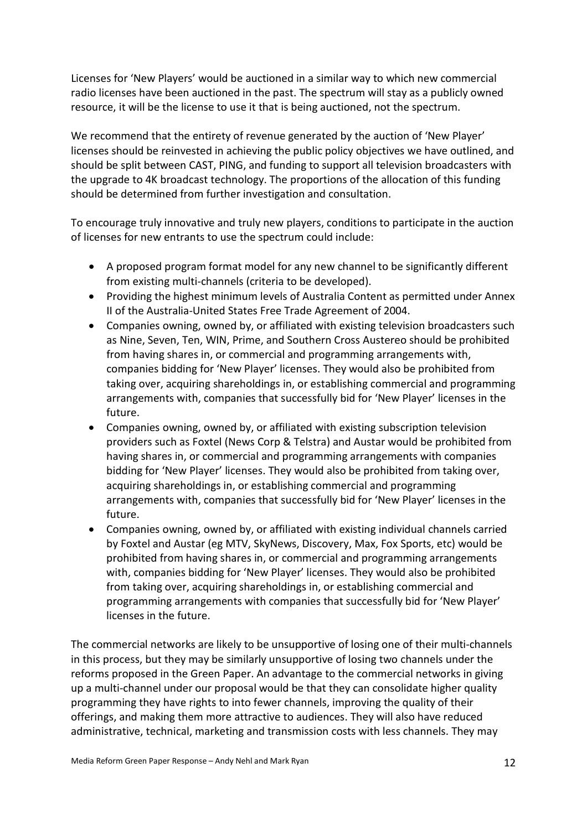Licenses for 'New Players' would be auctioned in a similar way to which new commercial radio licenses have been auctioned in the past. The spectrum will stay as a publicly owned resource, it will be the license to use it that is being auctioned, not the spectrum.

We recommend that the entirety of revenue generated by the auction of 'New Player' licenses should be reinvested in achieving the public policy objectives we have outlined, and should be split between CAST, PING, and funding to support all television broadcasters with the upgrade to 4K broadcast technology. The proportions of the allocation of this funding should be determined from further investigation and consultation.

To encourage truly innovative and truly new players, conditions to participate in the auction of licenses for new entrants to use the spectrum could include:

- A proposed program format model for any new channel to be significantly different from existing multi-channels (criteria to be developed).
- Providing the highest minimum levels of Australia Content as permitted under Annex II of the Australia-United States Free Trade Agreement of 2004.
- Companies owning, owned by, or affiliated with existing television broadcasters such as Nine, Seven, Ten, WIN, Prime, and Southern Cross Austereo should be prohibited from having shares in, or commercial and programming arrangements with, companies bidding for 'New Player' licenses. They would also be prohibited from taking over, acquiring shareholdings in, or establishing commercial and programming arrangements with, companies that successfully bid for 'New Player' licenses in the future.
- Companies owning, owned by, or affiliated with existing subscription television providers such as Foxtel (News Corp & Telstra) and Austar would be prohibited from having shares in, or commercial and programming arrangements with companies bidding for 'New Player' licenses. They would also be prohibited from taking over, acquiring shareholdings in, or establishing commercial and programming arrangements with, companies that successfully bid for 'New Player' licenses in the future.
- Companies owning, owned by, or affiliated with existing individual channels carried by Foxtel and Austar (eg MTV, SkyNews, Discovery, Max, Fox Sports, etc) would be prohibited from having shares in, or commercial and programming arrangements with, companies bidding for 'New Player' licenses. They would also be prohibited from taking over, acquiring shareholdings in, or establishing commercial and programming arrangements with companies that successfully bid for 'New Player' licenses in the future.

The commercial networks are likely to be unsupportive of losing one of their multi-channels in this process, but they may be similarly unsupportive of losing two channels under the reforms proposed in the Green Paper. An advantage to the commercial networks in giving up a multi-channel under our proposal would be that they can consolidate higher quality programming they have rights to into fewer channels, improving the quality of their offerings, and making them more attractive to audiences. They will also have reduced administrative, technical, marketing and transmission costs with less channels. They may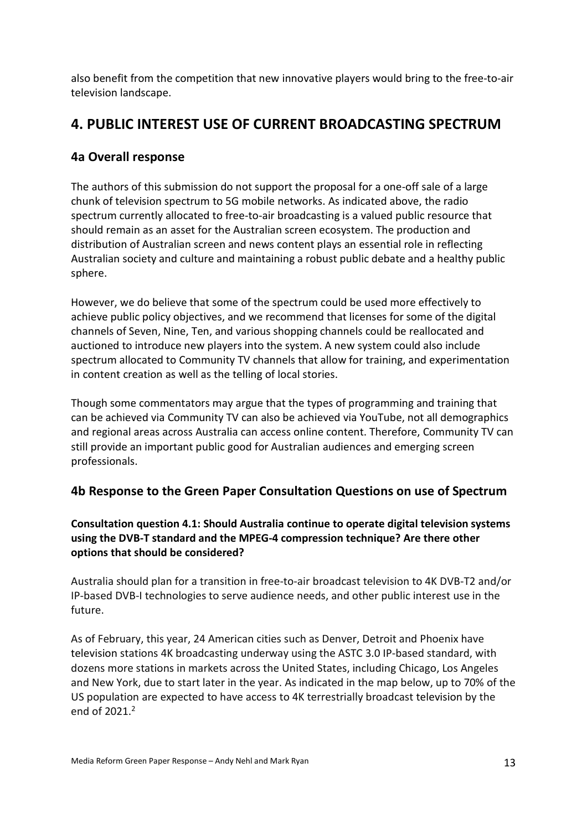also benefit from the competition that new innovative players would bring to the free-to-air television landscape.

## **4. PUBLIC INTEREST USE OF CURRENT BROADCASTING SPECTRUM**

## **4a Overall response**

The authors of this submission do not support the proposal for a one-off sale of a large chunk of television spectrum to 5G mobile networks. As indicated above, the radio spectrum currently allocated to free-to-air broadcasting is a valued public resource that should remain as an asset for the Australian screen ecosystem. The production and distribution of Australian screen and news content plays an essential role in reflecting Australian society and culture and maintaining a robust public debate and a healthy public sphere.

However, we do believe that some of the spectrum could be used more effectively to achieve public policy objectives, and we recommend that licenses for some of the digital channels of Seven, Nine, Ten, and various shopping channels could be reallocated and auctioned to introduce new players into the system. A new system could also include spectrum allocated to Community TV channels that allow for training, and experimentation in content creation as well as the telling of local stories.

Though some commentators may argue that the types of programming and training that can be achieved via Community TV can also be achieved via YouTube, not all demographics and regional areas across Australia can access online content. Therefore, Community TV can still provide an important public good for Australian audiences and emerging screen professionals.

## **4b Response to the Green Paper Consultation Questions on use of Spectrum**

## **Consultation question 4.1: Should Australia continue to operate digital television systems using the DVB-T standard and the MPEG-4 compression technique? Are there other options that should be considered?**

Australia should plan for a transition in free-to-air broadcast television to 4K DVB-T2 and/or IP-based DVB-I technologies to serve audience needs, and other public interest use in the future.

As of February, this year, 24 American cities such as Denver, Detroit and Phoenix have television stations 4K broadcasting underway using the ASTC 3.0 IP-based standard, with dozens more stations in markets across the United States, including Chicago, Los Angeles and New York, due to start later in the year. As indicated in the map below, up to 70% of the US population are expected to have access to 4K terrestrially broadcast television by the end of 2021. 2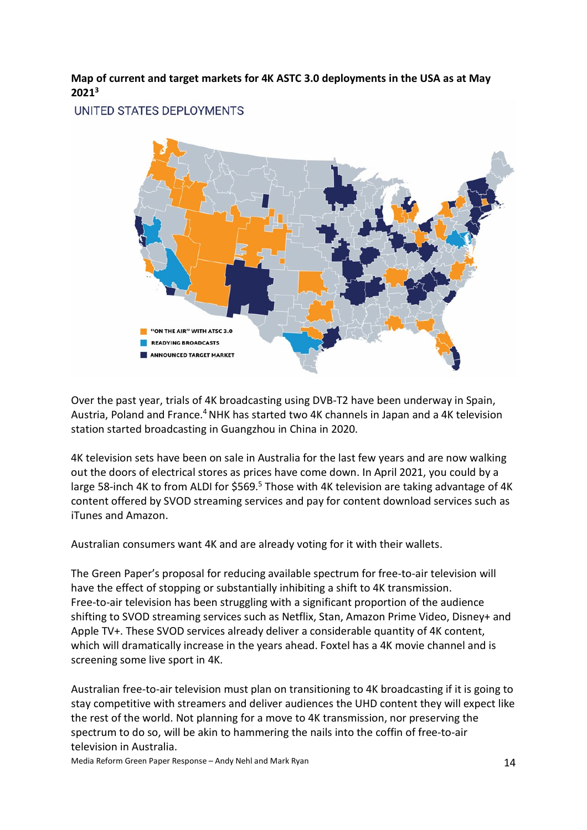**Map of current and target markets for 4K ASTC 3.0 deployments in the USA as at May 20213**

UNITED STATES DEPLOYMENTS



Over the past year, trials of 4K broadcasting using DVB-T2 have been underway in Spain, Austria, Poland and France.<sup>4</sup> NHK has started two 4K channels in Japan and a 4K television station started broadcasting in Guangzhou in China in 2020.

4K television sets have been on sale in Australia for the last few years and are now walking out the doors of electrical stores as prices have come down. In April 2021, you could by a large 58-inch 4K to from ALDI for \$569.<sup>5</sup> Those with 4K television are taking advantage of 4K content offered by SVOD streaming services and pay for content download services such as iTunes and Amazon.

Australian consumers want 4K and are already voting for it with their wallets.

The Green Paper's proposal for reducing available spectrum for free-to-air television will have the effect of stopping or substantially inhibiting a shift to 4K transmission. Free-to-air television has been struggling with a significant proportion of the audience shifting to SVOD streaming services such as Netflix, Stan, Amazon Prime Video, Disney+ and Apple TV+. These SVOD services already deliver a considerable quantity of 4K content, which will dramatically increase in the years ahead. Foxtel has a 4K movie channel and is screening some live sport in 4K.

Australian free-to-air television must plan on transitioning to 4K broadcasting if it is going to stay competitive with streamers and deliver audiences the UHD content they will expect like the rest of the world. Not planning for a move to 4K transmission, nor preserving the spectrum to do so, will be akin to hammering the nails into the coffin of free-to-air television in Australia.

Media Reform Green Paper Response – Andy Nehl and Mark Ryan 14 and Mark Ryan 14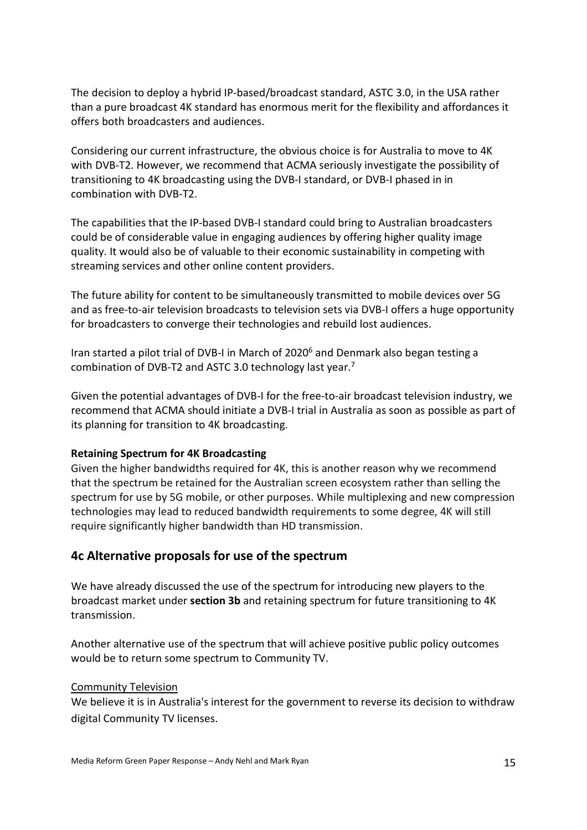The decision to deploy a hybrid IP-based/broadcast standard, ASTC 3.0, in the USA rather than a pure broadcast 4K standard has enormous merit for the flexibility and affordances it offers both broadcasters and audiences.

Considering our current infrastructure, the obvious choice is for Australia to move to 4K with DVB-T2. However, we recommend that ACMA seriously investigate the possibility of transitioning to 4K broadcasting using the DVB-I standard, or DVB-I phased in in combination with DVB-T2.

The capabilities that the IP-based DVB-I standard could bring to Australian broadcasters could be of considerable value in engaging audiences by offering higher quality image quality. It would also be of valuable to their economic sustainability in competing with streaming services and other online content providers.

The future ability for content to be simultaneously transmitted to mobile devices over 5G and as free-to-air television broadcasts to television sets via DVB-I offers a huge opportunity for broadcasters to converge their technologies and rebuild lost audiences.

Iran started a pilot trial of DVB-I in March of 2020<sup>6</sup> and Denmark also began testing a combination of DVB-T2 and ASTC 3.0 technology last year.7

Given the potential advantages of DVB-I for the free-to-air broadcast television industry, we recommend that ACMA should initiate a DVB-I trial in Australia as soon as possible as part of its planning for transition to 4K broadcasting.

### **Retaining Spectrum for 4K Broadcasting**

Given the higher bandwidths required for 4K, this is another reason why we recommend that the spectrum be retained for the Australian screen ecosystem rather than selling the spectrum for use by 5G mobile, or other purposes. While multiplexing and new compression technologies may lead to reduced bandwidth requirements to some degree, 4K will still require significantly higher bandwidth than HD transmission.

### **4c Alternative proposals for use of the spectrum**

We have already discussed the use of the spectrum for introducing new players to the broadcast market under **section 3b** and retaining spectrum for future transitioning to 4K transmission.

Another alternative use of the spectrum that will achieve positive public policy outcomes would be to return some spectrum to Community TV.

### Community Television

We believe it is in Australia's interest for the government to reverse its decision to withdraw digital Community TV licenses.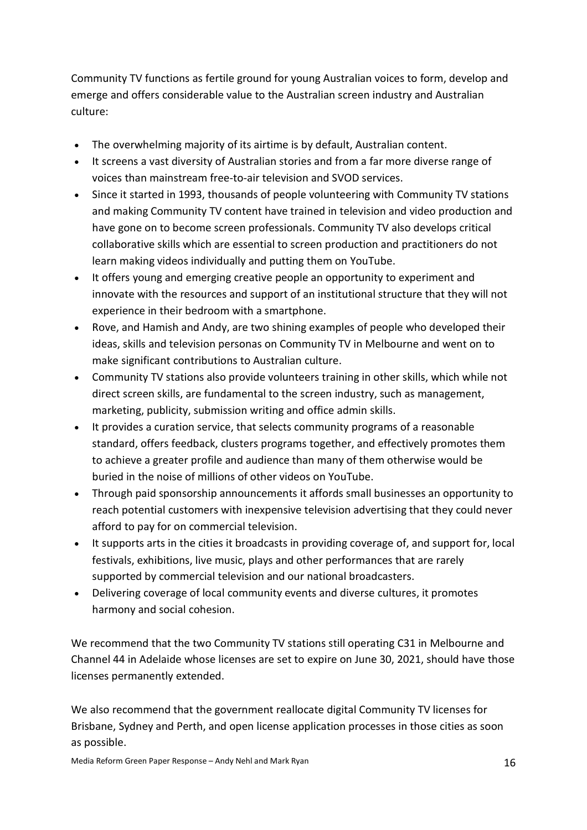Community TV functions as fertile ground for young Australian voices to form, develop and emerge and offers considerable value to the Australian screen industry and Australian culture:

- The overwhelming majority of its airtime is by default, Australian content.
- It screens a vast diversity of Australian stories and from a far more diverse range of voices than mainstream free-to-air television and SVOD services.
- Since it started in 1993, thousands of people volunteering with Community TV stations and making Community TV content have trained in television and video production and have gone on to become screen professionals. Community TV also develops critical collaborative skills which are essential to screen production and practitioners do not learn making videos individually and putting them on YouTube.
- It offers young and emerging creative people an opportunity to experiment and innovate with the resources and support of an institutional structure that they will not experience in their bedroom with a smartphone.
- Rove, and Hamish and Andy, are two shining examples of people who developed their ideas, skills and television personas on Community TV in Melbourne and went on to make significant contributions to Australian culture.
- Community TV stations also provide volunteers training in other skills, which while not direct screen skills, are fundamental to the screen industry, such as management, marketing, publicity, submission writing and office admin skills.
- It provides a curation service, that selects community programs of a reasonable standard, offers feedback, clusters programs together, and effectively promotes them to achieve a greater profile and audience than many of them otherwise would be buried in the noise of millions of other videos on YouTube.
- Through paid sponsorship announcements it affords small businesses an opportunity to reach potential customers with inexpensive television advertising that they could never afford to pay for on commercial television.
- It supports arts in the cities it broadcasts in providing coverage of, and support for, local festivals, exhibitions, live music, plays and other performances that are rarely supported by commercial television and our national broadcasters.
- Delivering coverage of local community events and diverse cultures, it promotes harmony and social cohesion.

We recommend that the two Community TV stations still operating C31 in Melbourne and Channel 44 in Adelaide whose licenses are set to expire on June 30, 2021, should have those licenses permanently extended.

We also recommend that the government reallocate digital Community TV licenses for Brisbane, Sydney and Perth, and open license application processes in those cities as soon as possible.

Media Reform Green Paper Response – Andy Nehl and Mark Ryan 16 and 16 and 16 and 16 and 16 and 16 and 16 and 16 and 16 and 16 and 16 and 16 and 16 and 16 and 16 and 16 and 16 and 16 and 16 and 16 and 16 and 16 and 16 and 1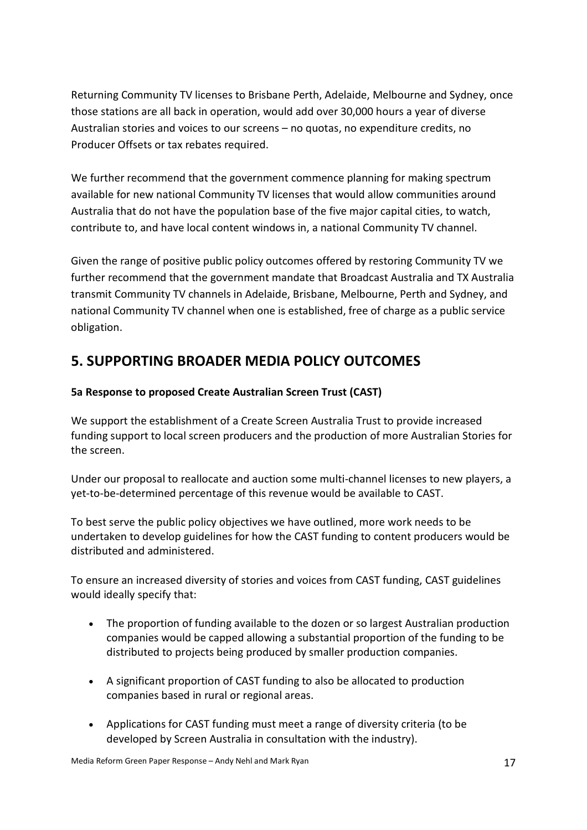Returning Community TV licenses to Brisbane Perth, Adelaide, Melbourne and Sydney, once those stations are all back in operation, would add over 30,000 hours a year of diverse Australian stories and voices to our screens – no quotas, no expenditure credits, no Producer Offsets or tax rebates required.

We further recommend that the government commence planning for making spectrum available for new national Community TV licenses that would allow communities around Australia that do not have the population base of the five major capital cities, to watch, contribute to, and have local content windows in, a national Community TV channel.

Given the range of positive public policy outcomes offered by restoring Community TV we further recommend that the government mandate that Broadcast Australia and TX Australia transmit Community TV channels in Adelaide, Brisbane, Melbourne, Perth and Sydney, and national Community TV channel when one is established, free of charge as a public service obligation.

## **5. SUPPORTING BROADER MEDIA POLICY OUTCOMES**

### **5a Response to proposed Create Australian Screen Trust (CAST)**

We support the establishment of a Create Screen Australia Trust to provide increased funding support to local screen producers and the production of more Australian Stories for the screen.

Under our proposal to reallocate and auction some multi-channel licenses to new players, a yet-to-be-determined percentage of this revenue would be available to CAST.

To best serve the public policy objectives we have outlined, more work needs to be undertaken to develop guidelines for how the CAST funding to content producers would be distributed and administered.

To ensure an increased diversity of stories and voices from CAST funding, CAST guidelines would ideally specify that:

- The proportion of funding available to the dozen or so largest Australian production companies would be capped allowing a substantial proportion of the funding to be distributed to projects being produced by smaller production companies.
- A significant proportion of CAST funding to also be allocated to production companies based in rural or regional areas.
- Applications for CAST funding must meet a range of diversity criteria (to be developed by Screen Australia in consultation with the industry).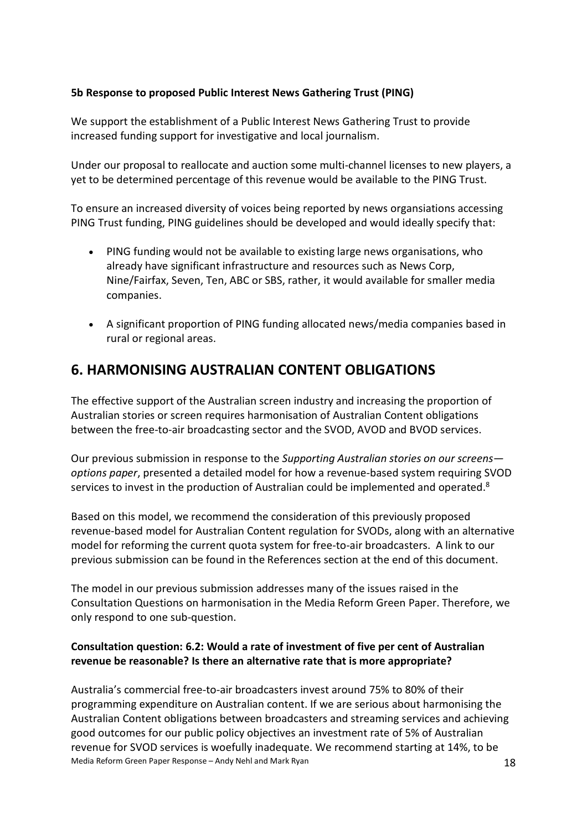### **5b Response to proposed Public Interest News Gathering Trust (PING)**

We support the establishment of a Public Interest News Gathering Trust to provide increased funding support for investigative and local journalism.

Under our proposal to reallocate and auction some multi-channel licenses to new players, a yet to be determined percentage of this revenue would be available to the PING Trust.

To ensure an increased diversity of voices being reported by news organsiations accessing PING Trust funding, PING guidelines should be developed and would ideally specify that:

- PING funding would not be available to existing large news organisations, who already have significant infrastructure and resources such as News Corp, Nine/Fairfax, Seven, Ten, ABC or SBS, rather, it would available for smaller media companies.
- A significant proportion of PING funding allocated news/media companies based in rural or regional areas.

## **6. HARMONISING AUSTRALIAN CONTENT OBLIGATIONS**

The effective support of the Australian screen industry and increasing the proportion of Australian stories or screen requires harmonisation of Australian Content obligations between the free-to-air broadcasting sector and the SVOD, AVOD and BVOD services.

Our previous submission in response to the *Supporting Australian stories on our screens options paper*, presented a detailed model for how a revenue-based system requiring SVOD services to invest in the production of Australian could be implemented and operated.<sup>8</sup>

Based on this model, we recommend the consideration of this previously proposed revenue-based model for Australian Content regulation for SVODs, along with an alternative model for reforming the current quota system for free-to-air broadcasters. A link to our previous submission can be found in the References section at the end of this document.

The model in our previous submission addresses many of the issues raised in the Consultation Questions on harmonisation in the Media Reform Green Paper. Therefore, we only respond to one sub-question.

### **Consultation question: 6.2: Would a rate of investment of five per cent of Australian revenue be reasonable? Is there an alternative rate that is more appropriate?**

Media Reform Green Paper Response – Andy Nehl and Mark Ryan 18 and 18 Australia's commercial free-to-air broadcasters invest around 75% to 80% of their programming expenditure on Australian content. If we are serious about harmonising the Australian Content obligations between broadcasters and streaming services and achieving good outcomes for our public policy objectives an investment rate of 5% of Australian revenue for SVOD services is woefully inadequate. We recommend starting at 14%, to be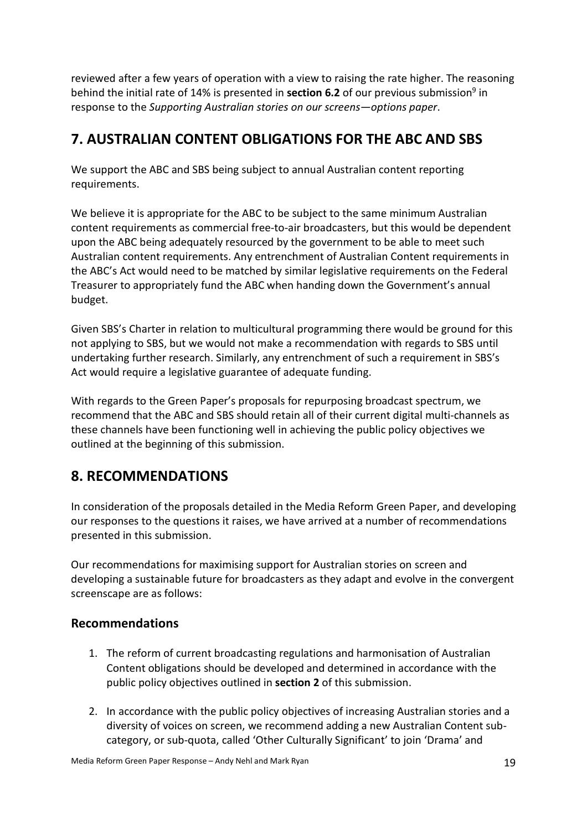reviewed after a few years of operation with a view to raising the rate higher. The reasoning behind the initial rate of 14% is presented in **section 6.2** of our previous submission<sup>9</sup> in response to the *Supporting Australian stories on our screens—options paper*.

## **7. AUSTRALIAN CONTENT OBLIGATIONS FOR THE ABC AND SBS**

We support the ABC and SBS being subject to annual Australian content reporting requirements.

We believe it is appropriate for the ABC to be subject to the same minimum Australian content requirements as commercial free-to-air broadcasters, but this would be dependent upon the ABC being adequately resourced by the government to be able to meet such Australian content requirements. Any entrenchment of Australian Content requirements in the ABC's Act would need to be matched by similar legislative requirements on the Federal Treasurer to appropriately fund the ABC when handing down the Government's annual budget.

Given SBS's Charter in relation to multicultural programming there would be ground for this not applying to SBS, but we would not make a recommendation with regards to SBS until undertaking further research. Similarly, any entrenchment of such a requirement in SBS's Act would require a legislative guarantee of adequate funding.

With regards to the Green Paper's proposals for repurposing broadcast spectrum, we recommend that the ABC and SBS should retain all of their current digital multi-channels as these channels have been functioning well in achieving the public policy objectives we outlined at the beginning of this submission.

## **8. RECOMMENDATIONS**

In consideration of the proposals detailed in the Media Reform Green Paper, and developing our responses to the questions it raises, we have arrived at a number of recommendations presented in this submission.

Our recommendations for maximising support for Australian stories on screen and developing a sustainable future for broadcasters as they adapt and evolve in the convergent screenscape are as follows:

## **Recommendations**

- 1. The reform of current broadcasting regulations and harmonisation of Australian Content obligations should be developed and determined in accordance with the public policy objectives outlined in **section 2** of this submission.
- 2. In accordance with the public policy objectives of increasing Australian stories and a diversity of voices on screen, we recommend adding a new Australian Content subcategory, or sub-quota, called 'Other Culturally Significant' to join 'Drama' and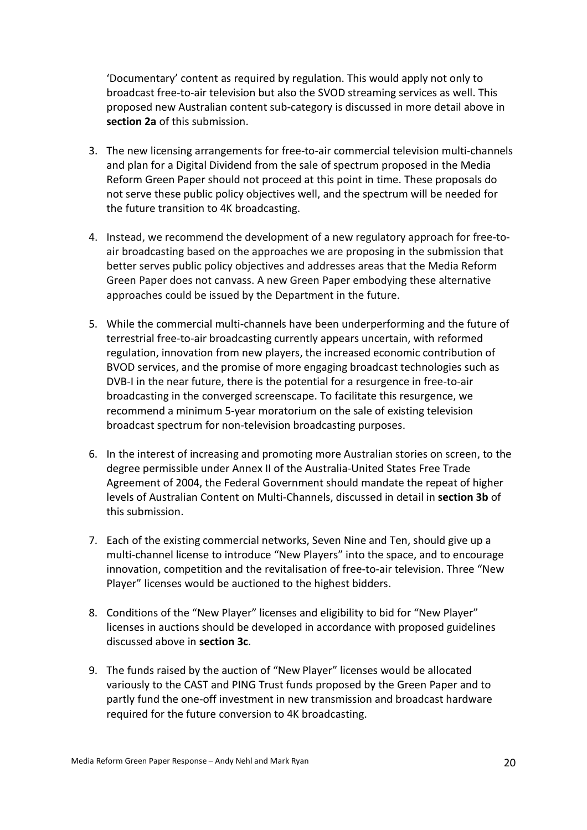'Documentary' content as required by regulation. This would apply not only to broadcast free-to-air television but also the SVOD streaming services as well. This proposed new Australian content sub-category is discussed in more detail above in **section 2a** of this submission.

- 3. The new licensing arrangements for free-to-air commercial television multi-channels and plan for a Digital Dividend from the sale of spectrum proposed in the Media Reform Green Paper should not proceed at this point in time. These proposals do not serve these public policy objectives well, and the spectrum will be needed for the future transition to 4K broadcasting.
- 4. Instead, we recommend the development of a new regulatory approach for free-toair broadcasting based on the approaches we are proposing in the submission that better serves public policy objectives and addresses areas that the Media Reform Green Paper does not canvass. A new Green Paper embodying these alternative approaches could be issued by the Department in the future.
- 5. While the commercial multi-channels have been underperforming and the future of terrestrial free-to-air broadcasting currently appears uncertain, with reformed regulation, innovation from new players, the increased economic contribution of BVOD services, and the promise of more engaging broadcast technologies such as DVB-I in the near future, there is the potential for a resurgence in free-to-air broadcasting in the converged screenscape. To facilitate this resurgence, we recommend a minimum 5-year moratorium on the sale of existing television broadcast spectrum for non-television broadcasting purposes.
- 6. In the interest of increasing and promoting more Australian stories on screen, to the degree permissible under Annex II of the Australia-United States Free Trade Agreement of 2004, the Federal Government should mandate the repeat of higher levels of Australian Content on Multi-Channels, discussed in detail in **section 3b** of this submission.
- 7. Each of the existing commercial networks, Seven Nine and Ten, should give up a multi-channel license to introduce "New Players" into the space, and to encourage innovation, competition and the revitalisation of free-to-air television. Three "New Player" licenses would be auctioned to the highest bidders.
- 8. Conditions of the "New Player" licenses and eligibility to bid for "New Player" licenses in auctions should be developed in accordance with proposed guidelines discussed above in **section 3c**.
- 9. The funds raised by the auction of "New Player" licenses would be allocated variously to the CAST and PING Trust funds proposed by the Green Paper and to partly fund the one-off investment in new transmission and broadcast hardware required for the future conversion to 4K broadcasting.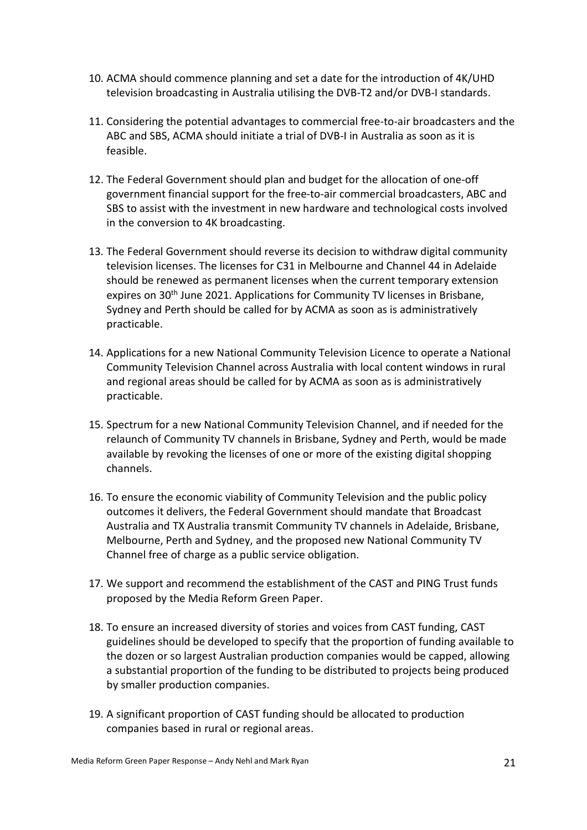- 10. ACMA should commence planning and set a date for the introduction of 4K/UHD television broadcasting in Australia utilising the DVB-T2 and/or DVB-I standards.
- 11. Considering the potential advantages to commercial free-to-air broadcasters and the ABC and SBS, ACMA should initiate a trial of DVB-I in Australia as soon as it is feasible.
- 12. The Federal Government should plan and budget for the allocation of one-off government financial support for the free-to-air commercial broadcasters, ABC and SBS to assist with the investment in new hardware and technological costs involved in the conversion to 4K broadcasting.
- 13. The Federal Government should reverse its decision to withdraw digital community television licenses. The licenses for C31 in Melbourne and Channel 44 in Adelaide should be renewed as permanent licenses when the current temporary extension expires on 30<sup>th</sup> June 2021. Applications for Community TV licenses in Brisbane, Sydney and Perth should be called for by ACMA as soon as is administratively practicable.
- 14. Applications for a new National Community Television Licence to operate a National Community Television Channel across Australia with local content windows in rural and regional areas should be called for by ACMA as soon as is administratively practicable.
- 15. Spectrum for a new National Community Television Channel, and if needed for the relaunch of Community TV channels in Brisbane, Sydney and Perth, would be made available by revoking the licenses of one or more of the existing digital shopping channels.
- 16. To ensure the economic viability of Community Television and the public policy outcomes it delivers, the Federal Government should mandate that Broadcast Australia and TX Australia transmit Community TV channels in Adelaide, Brisbane, Melbourne, Perth and Sydney, and the proposed new National Community TV Channel free of charge as a public service obligation.
- 17. We support and recommend the establishment of the CAST and PING Trust funds proposed by the Media Reform Green Paper.
- 18. To ensure an increased diversity of stories and voices from CAST funding, CAST guidelines should be developed to specify that the proportion of funding available to the dozen or so largest Australian production companies would be capped, allowing a substantial proportion of the funding to be distributed to projects being produced by smaller production companies.
- 19. A significant proportion of CAST funding should be allocated to production companies based in rural or regional areas.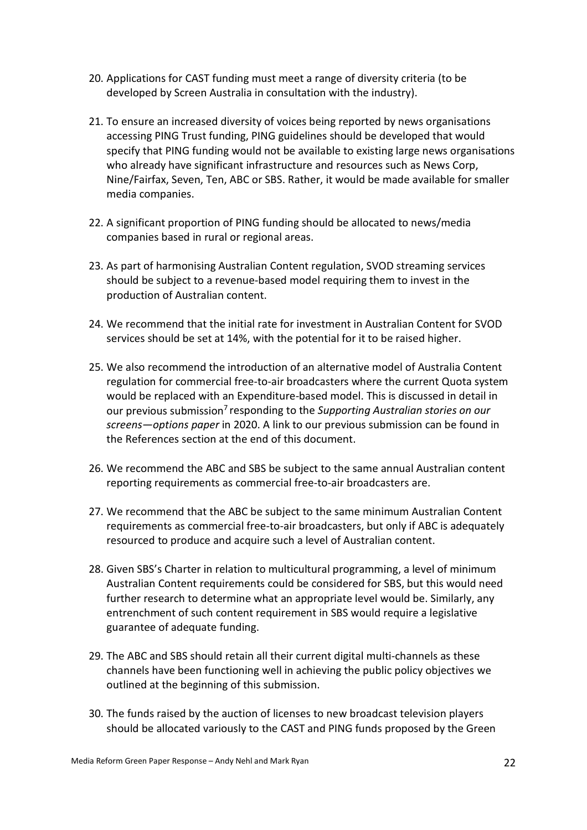- 20. Applications for CAST funding must meet a range of diversity criteria (to be developed by Screen Australia in consultation with the industry).
- 21. To ensure an increased diversity of voices being reported by news organisations accessing PING Trust funding, PING guidelines should be developed that would specify that PING funding would not be available to existing large news organisations who already have significant infrastructure and resources such as News Corp, Nine/Fairfax, Seven, Ten, ABC or SBS. Rather, it would be made available for smaller media companies.
- 22. A significant proportion of PING funding should be allocated to news/media companies based in rural or regional areas.
- 23. As part of harmonising Australian Content regulation, SVOD streaming services should be subject to a revenue-based model requiring them to invest in the production of Australian content.
- 24. We recommend that the initial rate for investment in Australian Content for SVOD services should be set at 14%, with the potential for it to be raised higher.
- 25. We also recommend the introduction of an alternative model of Australia Content regulation for commercial free-to-air broadcasters where the current Quota system would be replaced with an Expenditure-based model. This is discussed in detail in our previous submission7 responding to the *Supporting Australian stories on our screens—options paper* in 2020. A link to our previous submission can be found in the References section at the end of this document.
- 26. We recommend the ABC and SBS be subject to the same annual Australian content reporting requirements as commercial free-to-air broadcasters are.
- 27. We recommend that the ABC be subject to the same minimum Australian Content requirements as commercial free-to-air broadcasters, but only if ABC is adequately resourced to produce and acquire such a level of Australian content.
- 28. Given SBS's Charter in relation to multicultural programming, a level of minimum Australian Content requirements could be considered for SBS, but this would need further research to determine what an appropriate level would be. Similarly, any entrenchment of such content requirement in SBS would require a legislative guarantee of adequate funding.
- 29. The ABC and SBS should retain all their current digital multi-channels as these channels have been functioning well in achieving the public policy objectives we outlined at the beginning of this submission.
- 30. The funds raised by the auction of licenses to new broadcast television players should be allocated variously to the CAST and PING funds proposed by the Green